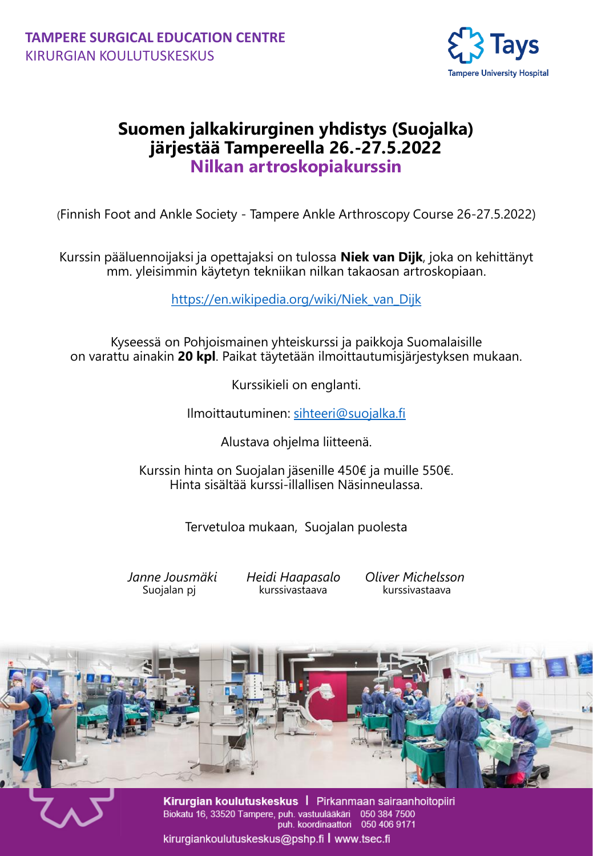

## **Suomen jalkakirurginen yhdistys (Suojalka) järjestää Tampereella 26.-27.5.2022 Nilkan artroskopiakurssin**

Dear Participant, (Finnish Foot and Ankle Society - Tampere Ankle Arthroscopy Course 26-27.5.2022)

Tampere Flap Course on December 2-4, 2020. The global COVID-19 Kurssin pääluennoijaksi ja opettajaksi on tulossa **Niek van Dijk**, joka on kehittänyt mm. yleisimmin käytetyn tekniikan nilkan takaosan artroskopiaan.

https://en.wikipedia.org/wiki/Niek\_van\_Dijk

Kyseessä on Pohjoismainen yhteiskurssi ja paikkoja Suomalaisille on varattu ainakin **20 kpl**. Paikat täytetään ilmoittautumisjärjestyksen mukaan.

Kurssikieli on englanti.

Ilmoittautuminen: [sihteeri@suojalka.fi](mailto:sihteeri@suojalka.fi)

e Mustava ohjelma liitteenä.

Kurssin hinta on Suojalan jäsenille 450€ ja muille 550€. Hinta sisältää kurssi-illallisen Näsinneulassa.

Tervetuloa mukaan, Suojalan puolesta

*Janne Jousmäki Heidi Haapasalo Oliver Michelsson* Suojalan pj kurssivastaava kurssivastaava



Kirurgian koulutuskeskus | Pirkanmaan sairaanhoitopiiri Biokatu 16, 33520 Tampere, puh. vastuulääkäri 050 384 7500<br>puh. koordinaattori 050 406 9171<br>kirurgiankoulutuskeskus@pshp.fi | www.tsec.fi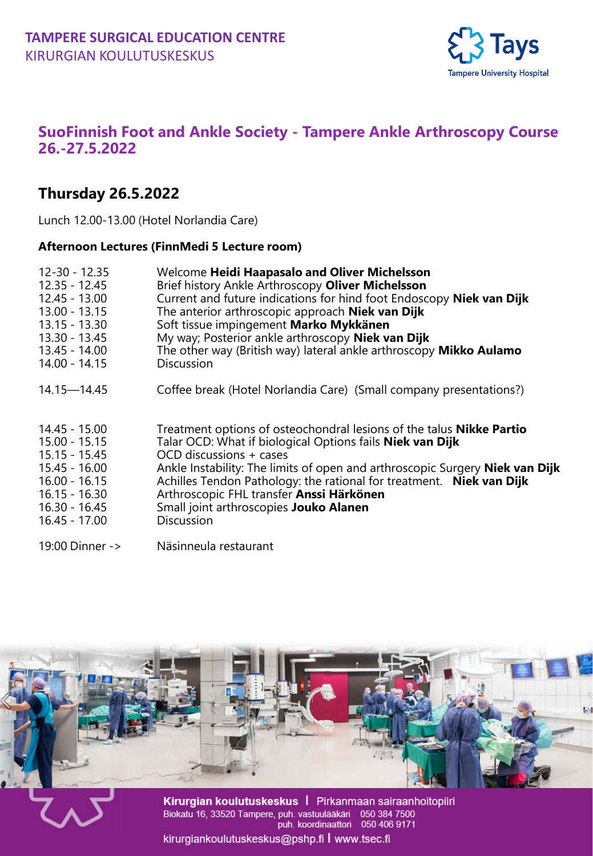

## **SuoFinnish Foot and Ankle Society - Tampere Ankle Arthroscopy Course 26.-27.5.2022**

## Dear Participant, **Thursday 26.5.2022**

Lunch 12.00-13.00 (Hotel Norlandia Care)

# Tampere Flap Course on December 2-4, 2020. The global COVID-19 **Afternoon Lectures (FinnMedi 5 Lecture room)**

| $12 - 30 - 12.35$<br>$12.35 - 12.45$<br>$12.45 - 13.00$<br>13.00 - 13.15<br>$13.15 - 13.30$<br>$13.30 - 13.45$<br>13.45 - 14.00<br>14.00 - 14.15 | Welcome Heidi Haapasalo and Oliver Michelsson<br>Brief history Ankle Arthroscopy Oliver Michelsson<br>Current and future indications for hind foot Endoscopy Niek van Dijk<br>The anterior arthroscopic approach Niek van Dijk<br>Soft tissue impingement Marko Mykkänen<br>My way; Posterior ankle arthroscopy Niek van Dijk<br>The other way (British way) lateral ankle arthroscopy Mikko Aulamo<br><b>Discussion</b>               |
|--------------------------------------------------------------------------------------------------------------------------------------------------|----------------------------------------------------------------------------------------------------------------------------------------------------------------------------------------------------------------------------------------------------------------------------------------------------------------------------------------------------------------------------------------------------------------------------------------|
| 14.15—14.45                                                                                                                                      | Coffee break (Hotel Norlandia Care) (Small company presentations?)                                                                                                                                                                                                                                                                                                                                                                     |
| 14.45 - 15.00<br>15.00 - 15.15<br>$15.15 - 15.45$<br>$15.45 - 16.00$<br>$16.00 - 16.15$<br>$16.15 - 16.30$<br>16.30 - 16.45<br>16.45 - 17.00     | Treatment options of osteochondral lesions of the talus <b>Nikke Partio</b><br>Talar OCD: What if biological Options fails Niek van Dijk<br>OCD discussions + cases<br>Ankle Instability: The limits of open and arthroscopic Surgery Niek van Dijk<br>Achilles Tendon Pathology: the rational for treatment. Niek van Dijk<br>Arthroscopic FHL transfer Anssi Härkönen<br>Small joint arthroscopies Jouko Alanen<br><b>Discussion</b> |
| 19:00 Dinner ->                                                                                                                                  | Näsinneula restaurant                                                                                                                                                                                                                                                                                                                                                                                                                  |



Kirurgian koulutuskeskus | Pirkanmaan sairaanhoitopiiri Biokatu 16, 33520 Tampere, puh. vastuulääkäri 050 384 7500<br>puh. koordinaattori 050 406 9171<br>kirurgiankoulutuskeskus@pshp.fi | www.tsec.fi